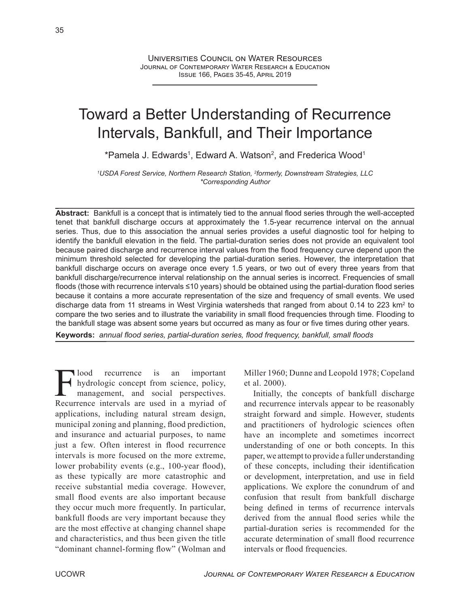# Toward a Better Understanding of Recurrence Intervals, Bankfull, and Their Importance

 $^*$ Pamela J. Edwards $^1$ , Edward A. Watson $^2$ , and Frederica Wood $^1$ 

*1 USDA Forest Service, Northern Research Station, 2 formerly, Downstream Strategies, LLC \*Corresponding Author*

**Abstract:** Bankfull is a concept that is intimately tied to the annual flood series through the well-accepted tenet that bankfull discharge occurs at approximately the 1.5-year recurrence interval on the annual series. Thus, due to this association the annual series provides a useful diagnostic tool for helping to identify the bankfull elevation in the field. The partial-duration series does not provide an equivalent tool because paired discharge and recurrence interval values from the flood frequency curve depend upon the minimum threshold selected for developing the partial-duration series. However, the interpretation that bankfull discharge occurs on average once every 1.5 years, or two out of every three years from that bankfull discharge/recurrence interval relationship on the annual series is incorrect. Frequencies of small floods (those with recurrence intervals ≤10 years) should be obtained using the partial-duration flood series because it contains a more accurate representation of the size and frequency of small events. We used discharge data from 11 streams in West Virginia watersheds that ranged from about 0.14 to 223 km² to compare the two series and to illustrate the variability in small flood frequencies through time. Flooding to the bankfull stage was absent some years but occurred as many as four or five times during other years.

**Keywords:** *annual flood series, partial-duration series, flood frequency, bankfull, small floods*

Flood recurrence is an important<br>hydrologic concept from science, policy,<br>management, and social perspectives.<br>Recurrence intervals are used in a myriad of hydrologic concept from science, policy, management, and social perspectives. Recurrence intervals are used in a myriad of applications, including natural stream design, municipal zoning and planning, flood prediction, and insurance and actuarial purposes, to name just a few. Often interest in flood recurrence intervals is more focused on the more extreme, lower probability events (e.g., 100-year flood), as these typically are more catastrophic and receive substantial media coverage. However, small flood events are also important because they occur much more frequently. In particular, bankfull floods are very important because they are the most effective at changing channel shape and characteristics, and thus been given the title "dominant channel-forming flow" (Wolman and

Miller 1960; Dunne and Leopold 1978; Copeland et al. 2000).

Initially, the concepts of bankfull discharge and recurrence intervals appear to be reasonably straight forward and simple. However, students and practitioners of hydrologic sciences often have an incomplete and sometimes incorrect understanding of one or both concepts. In this paper, we attempt to provide a fuller understanding of these concepts, including their identification or development, interpretation, and use in field applications. We explore the conundrum of and confusion that result from bankfull discharge being defined in terms of recurrence intervals derived from the annual flood series while the partial-duration series is recommended for the accurate determination of small flood recurrence intervals or flood frequencies.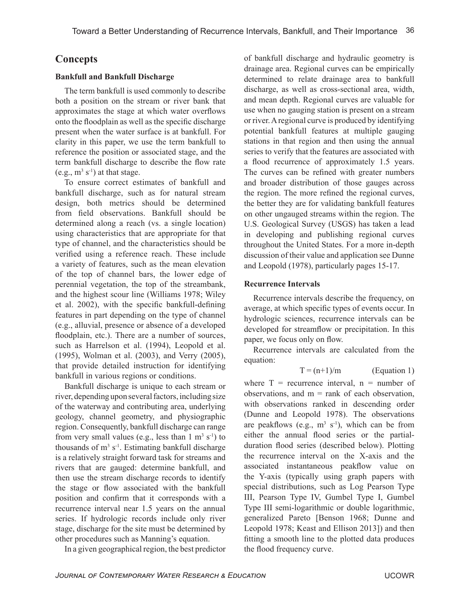# **Concepts**

#### **Bankfull and Bankfull Discharge**

The term bankfull is used commonly to describe both a position on the stream or river bank that approximates the stage at which water overflows onto the floodplain as well as the specific discharge present when the water surface is at bankfull. For clarity in this paper, we use the term bankfull to reference the position or associated stage, and the term bankfull discharge to describe the flow rate  $(e.g., m<sup>3</sup> s<sup>-1</sup>)$  at that stage.

To ensure correct estimates of bankfull and bankfull discharge, such as for natural stream design, both metrics should be determined from field observations. Bankfull should be determined along a reach (vs. a single location) using characteristics that are appropriate for that type of channel, and the characteristics should be verified using a reference reach. These include a variety of features, such as the mean elevation of the top of channel bars, the lower edge of perennial vegetation, the top of the streambank, and the highest scour line (Williams 1978; Wiley et al. 2002), with the specific bankfull-defining features in part depending on the type of channel (e.g., alluvial, presence or absence of a developed floodplain, etc.). There are a number of sources, such as Harrelson et al. (1994), Leopold et al. (1995), Wolman et al. (2003), and Verry (2005), that provide detailed instruction for identifying bankfull in various regions or conditions.

Bankfull discharge is unique to each stream or river, depending upon several factors, including size of the waterway and contributing area, underlying geology, channel geometry, and physiographic region. Consequently, bankfull discharge can range from very small values (e.g., less than  $1 \text{ m}^3 \text{ s}^{-1}$ ) to thousands of  $m^3$  s<sup>-1</sup>. Estimating bankfull discharge is a relatively straight forward task for streams and rivers that are gauged: determine bankfull, and then use the stream discharge records to identify the stage or flow associated with the bankfull position and confirm that it corresponds with a recurrence interval near 1.5 years on the annual series. If hydrologic records include only river stage, discharge for the site must be determined by other procedures such as Manning's equation.

In a given geographical region, the best predictor

of bankfull discharge and hydraulic geometry is drainage area. Regional curves can be empirically determined to relate drainage area to bankfull discharge, as well as cross-sectional area, width, and mean depth. Regional curves are valuable for use when no gauging station is present on a stream or river. A regional curve is produced by identifying potential bankfull features at multiple gauging stations in that region and then using the annual series to verify that the features are associated with a flood recurrence of approximately 1.5 years. The curves can be refined with greater numbers and broader distribution of those gauges across the region. The more refined the regional curves, the better they are for validating bankfull features on other ungauged streams within the region. The U.S. Geological Survey (USGS) has taken a lead in developing and publishing regional curves throughout the United States. For a more in-depth discussion of their value and application see Dunne and Leopold (1978), particularly pages 15-17.

#### **Recurrence Intervals**

Recurrence intervals describe the frequency, on average, at which specific types of events occur. In hydrologic sciences, recurrence intervals can be developed for streamflow or precipitation. In this paper, we focus only on flow.

Recurrence intervals are calculated from the equation:

$$
T = (n+1)/m
$$
 (Equation 1)

where  $T =$  recurrence interval,  $n =$  number of observations, and  $m = rank$  of each observation. with observations ranked in descending order (Dunne and Leopold 1978). The observations are peakflows (e.g.,  $m^3$  s<sup>-1</sup>), which can be from either the annual flood series or the partialduration flood series (described below). Plotting the recurrence interval on the X-axis and the associated instantaneous peakflow value on the Y-axis (typically using graph papers with special distributions, such as Log Pearson Type III, Pearson Type IV, Gumbel Type I, Gumbel Type III semi-logarithmic or double logarithmic, generalized Pareto [Benson 1968; Dunne and Leopold 1978; Keast and Ellison 2013]) and then fitting a smooth line to the plotted data produces the flood frequency curve.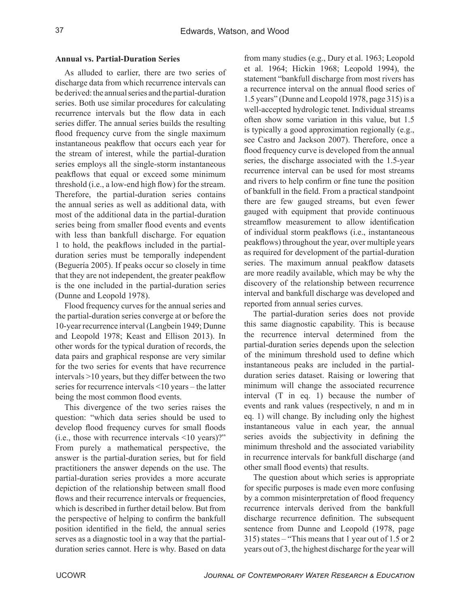#### **Annual vs. Partial-Duration Series**

As alluded to earlier, there are two series of discharge data from which recurrence intervals can be derived: the annual series and the partial-duration series. Both use similar procedures for calculating recurrence intervals but the flow data in each series differ. The annual series builds the resulting flood frequency curve from the single maximum instantaneous peakflow that occurs each year for the stream of interest, while the partial-duration series employs all the single-storm instantaneous peakflows that equal or exceed some minimum threshold (i.e., a low-end high flow) for the stream. Therefore, the partial-duration series contains the annual series as well as additional data, with most of the additional data in the partial-duration series being from smaller flood events and events with less than bankfull discharge. For equation 1 to hold, the peakflows included in the partialduration series must be temporally independent (Beguería 2005). If peaks occur so closely in time that they are not independent, the greater peakflow is the one included in the partial-duration series (Dunne and Leopold 1978).

Flood frequency curves for the annual series and the partial-duration series converge at or before the 10-year recurrence interval (Langbein 1949; Dunne and Leopold 1978; Keast and Ellison 2013). In other words for the typical duration of records, the data pairs and graphical response are very similar for the two series for events that have recurrence intervals >10 years, but they differ between the two series for recurrence intervals <10 years – the latter being the most common flood events.

This divergence of the two series raises the question: "which data series should be used to develop flood frequency curves for small floods (i.e., those with recurrence intervals <10 years)?" From purely a mathematical perspective, the answer is the partial-duration series, but for field practitioners the answer depends on the use. The partial-duration series provides a more accurate depiction of the relationship between small flood flows and their recurrence intervals or frequencies, which is described in further detail below. But from the perspective of helping to confirm the bankfull position identified in the field, the annual series serves as a diagnostic tool in a way that the partialduration series cannot. Here is why. Based on data

from many studies (e.g., Dury et al. 1963; Leopold et al. 1964; Hickin 1968; Leopold 1994), the statement "bankfull discharge from most rivers has a recurrence interval on the annual flood series of 1.5 years" (Dunne and Leopold 1978, page 315) is a well-accepted hydrologic tenet. Individual streams often show some variation in this value, but 1.5 is typically a good approximation regionally (e.g., see Castro and Jackson 2007). Therefore, once a flood frequency curve is developed from the annual series, the discharge associated with the 1.5-year recurrence interval can be used for most streams and rivers to help confirm or fine tune the position of bankfull in the field. From a practical standpoint there are few gauged streams, but even fewer gauged with equipment that provide continuous streamflow measurement to allow identification of individual storm peakflows (i.e., instantaneous peakflows) throughout the year, over multiple years as required for development of the partial-duration series. The maximum annual peakflow datasets are more readily available, which may be why the discovery of the relationship between recurrence interval and bankfull discharge was developed and reported from annual series curves.

The partial-duration series does not provide this same diagnostic capability. This is because the recurrence interval determined from the partial-duration series depends upon the selection of the minimum threshold used to define which instantaneous peaks are included in the partialduration series dataset. Raising or lowering that minimum will change the associated recurrence interval (T in eq. 1) because the number of events and rank values (respectively, n and m in eq. 1) will change. By including only the highest instantaneous value in each year, the annual series avoids the subjectivity in defining the minimum threshold and the associated variability in recurrence intervals for bankfull discharge (and other small flood events) that results.

The question about which series is appropriate for specific purposes is made even more confusing by a common misinterpretation of flood frequency recurrence intervals derived from the bankfull discharge recurrence definition. The subsequent sentence from Dunne and Leopold (1978, page 315) states – "This means that 1 year out of 1.5 or 2 years out of 3, the highest discharge for the year will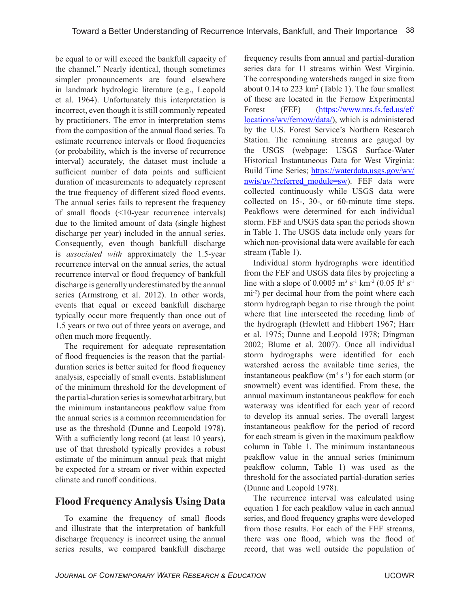be equal to or will exceed the bankfull capacity of the channel." Nearly identical, though sometimes simpler pronouncements are found elsewhere in landmark hydrologic literature (e.g., Leopold et al. 1964). Unfortunately this interpretation is incorrect, even though it is still commonly repeated by practitioners. The error in interpretation stems from the composition of the annual flood series. To estimate recurrence intervals or flood frequencies (or probability, which is the inverse of recurrence interval) accurately, the dataset must include a sufficient number of data points and sufficient duration of measurements to adequately represent the true frequency of different sized flood events. The annual series fails to represent the frequency of small floods (<10-year recurrence intervals) due to the limited amount of data (single highest discharge per year) included in the annual series. Consequently, even though bankfull discharge is *associated with* approximately the 1.5-year recurrence interval on the annual series, the actual recurrence interval or flood frequency of bankfull discharge is generally underestimated by the annual series (Armstrong et al. 2012). In other words, events that equal or exceed bankfull discharge typically occur more frequently than once out of 1.5 years or two out of three years on average, and often much more frequently.

The requirement for adequate representation of flood frequencies is the reason that the partialduration series is better suited for flood frequency analysis, especially of small events. Establishment of the minimum threshold for the development of the partial-duration series is somewhat arbitrary, but the minimum instantaneous peakflow value from the annual series is a common recommendation for use as the threshold (Dunne and Leopold 1978). With a sufficiently long record (at least 10 years), use of that threshold typically provides a robust estimate of the minimum annual peak that might be expected for a stream or river within expected climate and runoff conditions.

## **Flood Frequency Analysis Using Data**

To examine the frequency of small floods and illustrate that the interpretation of bankfull discharge frequency is incorrect using the annual series results, we compared bankfull discharge

frequency results from annual and partial-duration series data for 11 streams within West Virginia. The corresponding watersheds ranged in size from about  $0.14$  to  $223 \text{ km}^2$  (Table 1). The four smallest of these are located in the Fernow Experimental Forest (FEF) [\(https://www.nrs.fs.fed.us/ef/](https://www.nrs.fs.fed.us/ef/locations/wv/fernow/data/) [locations/wv/fernow/data/\)](https://www.nrs.fs.fed.us/ef/locations/wv/fernow/data/), which is administered by the U.S. Forest Service's Northern Research Station. The remaining streams are gauged by the USGS (webpage: USGS Surface-Water Historical Instantaneous Data for West Virginia: Build Time Series; [https://waterdata.usgs.gov/wv/](https://waterdata.usgs.gov/wv/nwis/uv/?referred_module=sw) [nwis/uv/?referred\\_module=sw](https://waterdata.usgs.gov/wv/nwis/uv/?referred_module=sw)). FEF data were collected continuously while USGS data were collected on 15-, 30-, or 60-minute time steps. Peakflows were determined for each individual storm. FEF and USGS data span the periods shown in Table 1. The USGS data include only years for which non-provisional data were available for each stream (Table 1).

Individual storm hydrographs were identified from the FEF and USGS data files by projecting a line with a slope of 0.0005  $\text{m}^3 \text{ s}^{-1} \text{ km}^{-2}$  (0.05 ft<sup>3</sup> s<sup>-1</sup> mi<sup>-2</sup>) per decimal hour from the point where each storm hydrograph began to rise through the point where that line intersected the receding limb of the hydrograph (Hewlett and Hibbert 1967; Harr et al. 1975; Dunne and Leopold 1978; Dingman 2002; Blume et al. 2007). Once all individual storm hydrographs were identified for each watershed across the available time series, the instantaneous peakflow  $(m<sup>3</sup> s<sup>-1</sup>)$  for each storm (or snowmelt) event was identified. From these, the annual maximum instantaneous peakflow for each waterway was identified for each year of record to develop its annual series. The overall largest instantaneous peakflow for the period of record for each stream is given in the maximum peakflow column in Table 1. The minimum instantaneous peakflow value in the annual series (minimum peakflow column, Table 1) was used as the threshold for the associated partial-duration series (Dunne and Leopold 1978).

The recurrence interval was calculated using equation 1 for each peakflow value in each annual series, and flood frequency graphs were developed from those results. For each of the FEF streams, there was one flood, which was the flood of record, that was well outside the population of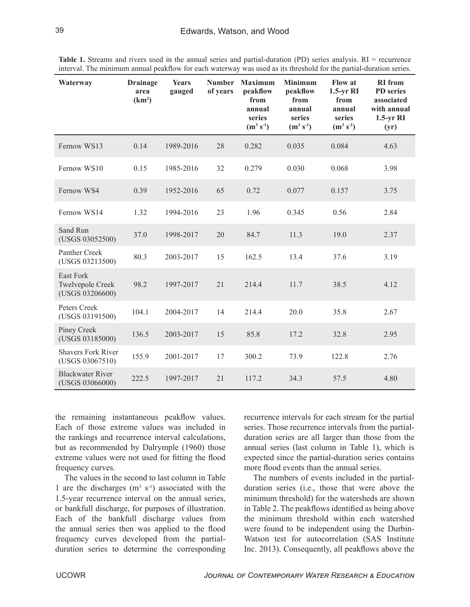| Waterway                                                | <b>Drainage</b><br>area<br>(km <sup>2</sup> ) | <b>Years</b><br>gauged | <b>Number</b><br>of years | <b>Maximum</b><br>peakflow<br>from<br>annual<br>series<br>$(m^3 s^{-1})$ | <b>Minimum</b><br>peakflow<br>from<br>annual<br>series<br>$(m^3 s^{-1})$ | <b>Flow at</b><br>$1.5$ -yr RI<br>from<br>annual<br>series<br>$(m^3 s^{-1})$ | <b>RI</b> from<br>PD series<br>associated<br>with annual<br>$1.5$ -yr RI<br>(yr) |
|---------------------------------------------------------|-----------------------------------------------|------------------------|---------------------------|--------------------------------------------------------------------------|--------------------------------------------------------------------------|------------------------------------------------------------------------------|----------------------------------------------------------------------------------|
| Fernow WS13                                             | 0.14                                          | 1989-2016              | 28                        | 0.282                                                                    | 0.035                                                                    | 0.084                                                                        | 4.63                                                                             |
| Fernow WS10                                             | 0.15                                          | 1985-2016              | 32                        | 0.279                                                                    | 0.030                                                                    | 0.068                                                                        | 3.98                                                                             |
| Fernow WS4                                              | 0.39                                          | 1952-2016              | 65                        | 0.72                                                                     | 0.077                                                                    | 0.157                                                                        | 3.75                                                                             |
| Fernow WS14                                             | 1.32                                          | 1994-2016              | 23                        | 1.96                                                                     | 0.345                                                                    | 0.56                                                                         | 2.84                                                                             |
| Sand Run<br>(USGS 03052500)                             | 37.0                                          | 1998-2017              | 20                        | 84.7                                                                     | 11.3                                                                     | 19.0                                                                         | 2.37                                                                             |
| <b>Panther Creek</b><br>(USGS 03213500)                 | 80.3                                          | 2003-2017              | 15                        | 162.5                                                                    | 13.4                                                                     | 37.6                                                                         | 3.19                                                                             |
| <b>East Fork</b><br>Twelvepole Creek<br>(USGS 03206600) | 98.2                                          | 1997-2017              | 21                        | 214.4                                                                    | 11.7                                                                     | 38.5                                                                         | 4.12                                                                             |
| Peters Creek<br>(USGS 03191500)                         | 104.1                                         | 2004-2017              | 14                        | 214.4                                                                    | 20.0                                                                     | 35.8                                                                         | 2.67                                                                             |
| Piney Creek<br>(USGS 03185000)                          | 136.5                                         | 2003-2017              | 15                        | 85.8                                                                     | 17.2                                                                     | 32.8                                                                         | 2.95                                                                             |
| <b>Shavers Fork River</b><br>(USGS 03067510)            | 155.9                                         | 2001-2017              | 17                        | 300.2                                                                    | 73.9                                                                     | 122.8                                                                        | 2.76                                                                             |
| <b>Blackwater River</b><br>(USGS 03066000)              | 222.5                                         | 1997-2017              | 21                        | 117.2                                                                    | 34.3                                                                     | 57.5                                                                         | 4.80                                                                             |

**Table 1.** Streams and rivers used in the annual series and partial-duration (PD) series analysis. RI = recurrence interval. The minimum annual peakflow for each waterway was used as its threshold for the partial-duration series.

the remaining instantaneous peakflow values. Each of those extreme values was included in the rankings and recurrence interval calculations, but as recommended by Dalrymple (1960) those extreme values were not used for fitting the flood frequency curves.

The values in the second to last column in Table 1 are the discharges  $(m<sup>3</sup> s<sup>-1</sup>)$  associated with the 1.5-year recurrence interval on the annual series, or bankfull discharge, for purposes of illustration. Each of the bankfull discharge values from the annual series then was applied to the flood frequency curves developed from the partialduration series to determine the corresponding

recurrence intervals for each stream for the partial series. Those recurrence intervals from the partialduration series are all larger than those from the annual series (last column in Table 1), which is expected since the partial-duration series contains more flood events than the annual series.

The numbers of events included in the partialduration series (i.e., those that were above the minimum threshold) for the watersheds are shown in Table 2. The peakflows identified as being above the minimum threshold within each watershed were found to be independent using the Durbin-Watson test for autocorrelation (SAS Institute Inc. 2013). Consequently, all peakflows above the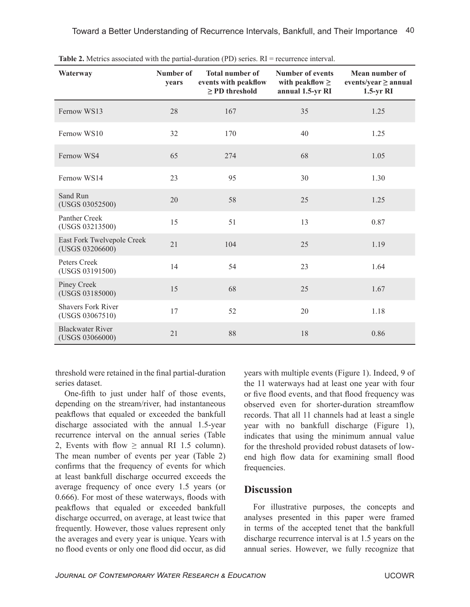| Waterway                                      | Number of<br>years | <b>Total number of</b><br>events with peakflow<br>$\geq$ PD threshold | <b>Number of events</b><br>with peakflow $\geq$<br>annual 1.5-yr RI | Mean number of<br>events/year $\ge$ annual<br>$1.5$ -yr RI |
|-----------------------------------------------|--------------------|-----------------------------------------------------------------------|---------------------------------------------------------------------|------------------------------------------------------------|
| Fernow WS13                                   | 28                 | 167                                                                   | 35                                                                  | 1.25                                                       |
| Fernow WS10                                   | 32                 | 170                                                                   | 40                                                                  | 1.25                                                       |
| Fernow WS4                                    | 65                 | 274                                                                   | 68                                                                  | 1.05                                                       |
| Fernow WS14                                   | 23                 | 95                                                                    | 30                                                                  | 1.30                                                       |
| Sand Run<br>(USGS 03052500)                   | 20                 | 58                                                                    | 25                                                                  | 1.25                                                       |
| Panther Creek<br>(USGS 03213500)              | 15                 | 51                                                                    | 13                                                                  | 0.87                                                       |
| East Fork Twelvepole Creek<br>(USGS 03206600) | 21                 | 104                                                                   | 25                                                                  | 1.19                                                       |
| Peters Creek<br>(USGS 03191500)               | 14                 | 54                                                                    | 23                                                                  | 1.64                                                       |
| Piney Creek<br>(USGS 03185000)                | 15                 | 68                                                                    | 25                                                                  | 1.67                                                       |
| <b>Shavers Fork River</b><br>(USGS 03067510)  | 17                 | 52                                                                    | 20                                                                  | 1.18                                                       |
| <b>Blackwater River</b><br>(USGS 03066000)    | 21                 | 88                                                                    | 18                                                                  | 0.86                                                       |

**Table 2.** Metrics associated with the partial-duration (PD) series. RI = recurrence interval.

threshold were retained in the final partial-duration series dataset.

One-fifth to just under half of those events, depending on the stream/river, had instantaneous peakflows that equaled or exceeded the bankfull discharge associated with the annual 1.5-year recurrence interval on the annual series (Table 2, Events with flow  $\geq$  annual RI 1.5 column). The mean number of events per year (Table 2) confirms that the frequency of events for which at least bankfull discharge occurred exceeds the average frequency of once every 1.5 years (or 0.666). For most of these waterways, floods with peakflows that equaled or exceeded bankfull discharge occurred, on average, at least twice that frequently. However, those values represent only the averages and every year is unique. Years with no flood events or only one flood did occur, as did

years with multiple events (Figure 1). Indeed, 9 of the 11 waterways had at least one year with four or five flood events, and that flood frequency was observed even for shorter-duration streamflow records. That all 11 channels had at least a single year with no bankfull discharge (Figure 1), indicates that using the minimum annual value for the threshold provided robust datasets of lowend high flow data for examining small flood frequencies.

### **Discussion**

For illustrative purposes, the concepts and analyses presented in this paper were framed in terms of the accepted tenet that the bankfull discharge recurrence interval is at 1.5 years on the annual series. However, we fully recognize that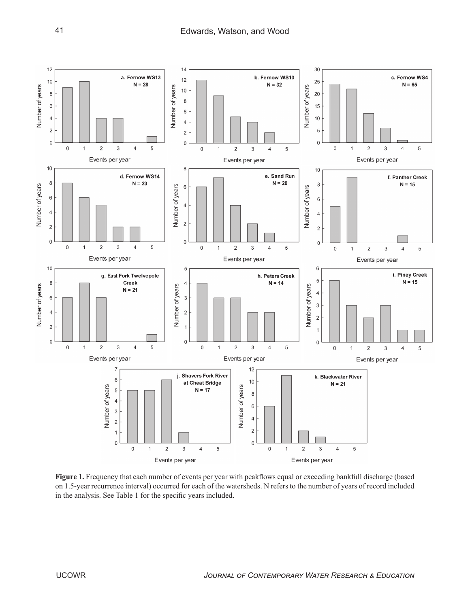

**Figure 1.** Frequency that each number of events per year with peakflows equal or exceeding bankfull discharge (based on 1.5-year recurrence interval) occurred for each of the watersheds. N refers to the number of years of record included in the analysis. See Table 1 for the specific years included.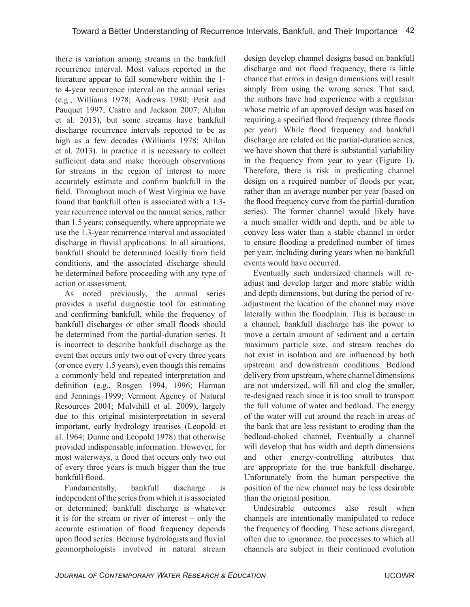there is variation among streams in the bankfull recurrence interval. Most values reported in the literature appear to fall somewhere within the 1 to 4-year recurrence interval on the annual series (e.g., Williams 1978; Andrews 1980; Petit and Pauquet 1997; Castro and Jackson 2007; Ahilan et al. 2013), but some streams have bankfull discharge recurrence intervals reported to be as high as a few decades (Williams 1978; Ahilan et al. 2013). In practice it is necessary to collect sufficient data and make thorough observations for streams in the region of interest to more accurately estimate and confirm bankfull in the field. Throughout much of West Virginia we have found that bankfull often is associated with a 1.3 year recurrence interval on the annual series, rather than 1.5 years; consequently, where appropriate we use the 1.3-year recurrence interval and associated discharge in fluvial applications. In all situations, bankfull should be determined locally from field conditions, and the associated discharge should be determined before proceeding with any type of action or assessment.

As noted previously, the annual series provides a useful diagnostic tool for estimating and confirming bankfull, while the frequency of bankfull discharges or other small floods should be determined from the partial-duration series. It is incorrect to describe bankfull discharge as the event that occurs only two out of every three years (or once every 1.5 years), even though this remains a commonly held and repeated interpretation and definition (e.g., Rosgen 1994, 1996; Harman and Jennings 1999; Vermont Agency of Natural Resources 2004; Mulvihill et al. 2009), largely due to this original misinterpretation in several important, early hydrology treatises (Leopold et al. 1964; Dunne and Leopold 1978) that otherwise provided indispensable information. However, for most waterways, a flood that occurs only two out of every three years is much bigger than the true bankfull flood.

Fundamentally, bankfull discharge is independent of the series from which it is associated or determined; bankfull discharge is whatever it is for the stream or river of interest – only the accurate estimation of flood frequency depends upon flood series. Because hydrologists and fluvial geomorphologists involved in natural stream

design develop channel designs based on bankfull discharge and not flood frequency, there is little chance that errors in design dimensions will result simply from using the wrong series. That said, the authors have had experience with a regulator whose metric of an approved design was based on requiring a specified flood frequency (three floods per year). While flood frequency and bankfull discharge are related on the partial-duration series, we have shown that there is substantial variability in the frequency from year to year (Figure 1). Therefore, there is risk in predicating channel design on a required number of floods per year, rather than an average number per year (based on the flood frequency curve from the partial-duration series). The former channel would likely have a much smaller width and depth, and be able to convey less water than a stable channel in order to ensure flooding a predefined number of times per year, including during years when no bankfull events would have occurred.

Eventually such undersized channels will readjust and develop larger and more stable width and depth dimensions, but during the period of readjustment the location of the channel may move laterally within the floodplain. This is because in a channel, bankfull discharge has the power to move a certain amount of sediment and a certain maximum particle size, and stream reaches do not exist in isolation and are influenced by both upstream and downstream conditions. Bedload delivery from upstream, where channel dimensions are not undersized, will fill and clog the smaller, re-designed reach since it is too small to transport the full volume of water and bedload. The energy of the water will cut around the reach in areas of the bank that are less resistant to eroding than the bedload-choked channel. Eventually a channel will develop that has width and depth dimensions and other energy-controlling attributes that are appropriate for the true bankfull discharge. Unfortunately from the human perspective the position of the new channel may be less desirable than the original position.

Undesirable outcomes also result when channels are intentionally manipulated to reduce the frequency of flooding. These actions disregard, often due to ignorance, the processes to which all channels are subject in their continued evolution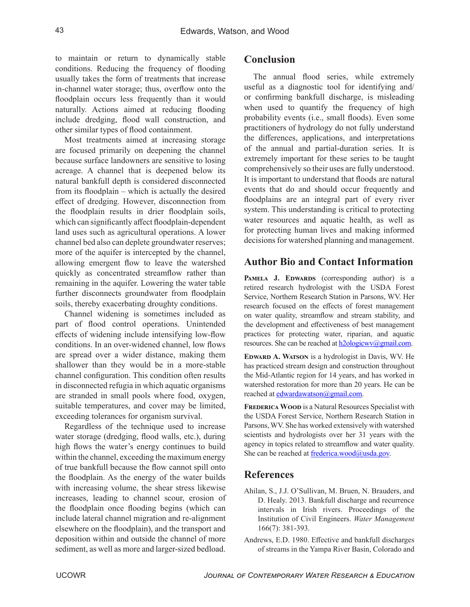to maintain or return to dynamically stable conditions. Reducing the frequency of flooding usually takes the form of treatments that increase in-channel water storage; thus, overflow onto the floodplain occurs less frequently than it would naturally. Actions aimed at reducing flooding include dredging, flood wall construction, and other similar types of flood containment.

Most treatments aimed at increasing storage are focused primarily on deepening the channel because surface landowners are sensitive to losing acreage. A channel that is deepened below its natural bankfull depth is considered disconnected from its floodplain – which is actually the desired effect of dredging. However, disconnection from the floodplain results in drier floodplain soils, which can significantly affect floodplain-dependent land uses such as agricultural operations. A lower channel bed also can deplete groundwater reserves; more of the aquifer is intercepted by the channel, allowing emergent flow to leave the watershed quickly as concentrated streamflow rather than remaining in the aquifer. Lowering the water table further disconnects groundwater from floodplain soils, thereby exacerbating droughty conditions.

Channel widening is sometimes included as part of flood control operations. Unintended effects of widening include intensifying low-flow conditions. In an over-widened channel, low flows are spread over a wider distance, making them shallower than they would be in a more-stable channel configuration. This condition often results in disconnected refugia in which aquatic organisms are stranded in small pools where food, oxygen, suitable temperatures, and cover may be limited, exceeding tolerances for organism survival.

Regardless of the technique used to increase water storage (dredging, flood walls, etc.), during high flows the water's energy continues to build within the channel, exceeding the maximum energy of true bankfull because the flow cannot spill onto the floodplain. As the energy of the water builds with increasing volume, the shear stress likewise increases, leading to channel scour, erosion of the floodplain once flooding begins (which can include lateral channel migration and re-alignment elsewhere on the floodplain), and the transport and deposition within and outside the channel of more sediment, as well as more and larger-sized bedload.

## **Conclusion**

The annual flood series, while extremely useful as a diagnostic tool for identifying and/ or confirming bankfull discharge, is misleading when used to quantify the frequency of high probability events (i.e., small floods). Even some practitioners of hydrology do not fully understand the differences, applications, and interpretations of the annual and partial-duration series. It is extremely important for these series to be taught comprehensively so their uses are fully understood. It is important to understand that floods are natural events that do and should occur frequently and floodplains are an integral part of every river system. This understanding is critical to protecting water resources and aquatic health, as well as for protecting human lives and making informed decisions for watershed planning and management.

# **Author Bio and Contact Information**

PAMELA J. EDWARDS (corresponding author) is a retired research hydrologist with the USDA Forest Service, Northern Research Station in Parsons, WV. Her research focused on the effects of forest management on water quality, streamflow and stream stability, and the development and effectiveness of best management practices for protecting water, riparian, and aquatic resources. She can be reached at **h2ologicwv**@gmail.com.

**Edward A. Watson** is a hydrologist in Davis, WV. He has practiced stream design and construction throughout the Mid-Atlantic region for 14 years, and has worked in watershed restoration for more than 20 years. He can be reached at [edwardawatson@gmail.com.](mailto:edwardawatson%40gmail.com?subject=)

**FREDERICA WOOD** is a Natural Resources Specialist with the USDA Forest Service, Northern Research Station in Parsons, WV. She has worked extensively with watershed scientists and hydrologists over her 31 years with the agency in topics related to streamflow and water quality. She can be reached at [frederica.wood@usda.gov](mailto:frederica.wood%40usda.gov?subject=).

# **References**

- Ahilan, S., J.J. O'Sullivan, M. Bruen, N. Brauders, and D. Healy. 2013. Bankfull discharge and recurrence intervals in Irish rivers. Proceedings of the Institution of Civil Engineers. *Water Management*  166(7): 381-393.
- Andrews, E.D. 1980. Effective and bankfull discharges of streams in the Yampa River Basin, Colorado and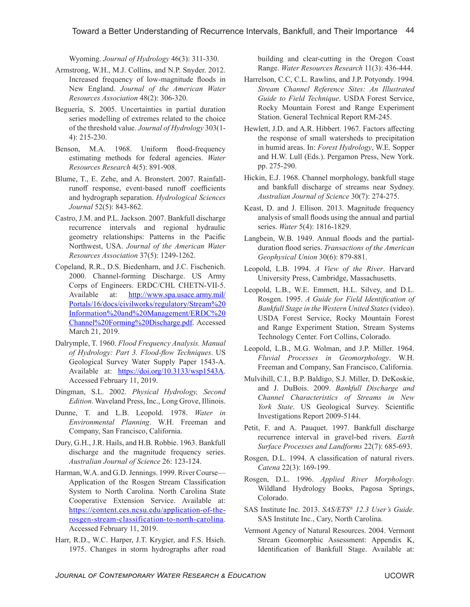Wyoming. *Journal of Hydrology* 46(3): 311-330.

- Armstrong, W.H., M.J. Collins, and N.P. Snyder. 2012. Increased frequency of low-magnitude floods in New England. *Journal of the American Water Resources Association* 48(2): 306-320.
- Beguería, S. 2005. Uncertainties in partial duration series modelling of extremes related to the choice of the threshold value. *Journal of Hydrology* 303(1- 4): 215-230.
- Benson, M.A. 1968. Uniform flood-frequency estimating methods for federal agencies. *Water Resources Research* 4(5): 891-908.
- Blume, T., E. Zehe, and A. Bronstert. 2007. Rainfallrunoff response, event-based runoff coefficients and hydrograph separation. *Hydrological Sciences Journal* 52(5): 843-862.
- Castro, J.M. and P.L. Jackson. 2007. Bankfull discharge recurrence intervals and regional hydraulic geometry relationships: Patterns in the Pacific Northwest, USA. *Journal of the American Water Resources Association* 37(5): 1249-1262.
- Copeland, R.R., D.S. Biedenharn, and J.C. Fischenich. 2000. Channel-forming Discharge. US Army Corps of Engineers. ERDC/CHL CHETN-VII-5. Available at: [http://www.spa.usace.army.mil/](http://www.spa.usace.army.mil/Portals/16/docs/civilworks/regulatory/Stream%20Information%20and%20Management/ERDC%20Channel%20Forming%20Discharge.pdf) [Portals/16/docs/civilworks/regulatory/Stream%20](http://www.spa.usace.army.mil/Portals/16/docs/civilworks/regulatory/Stream%20Information%20and%20Management/ERDC%20Channel%20Forming%20Discharge.pdf) [Information%20and%20Management/ERDC%20](http://www.spa.usace.army.mil/Portals/16/docs/civilworks/regulatory/Stream%20Information%20and%20Management/ERDC%20Channel%20Forming%20Discharge.pdf) [Channel%20Forming%20Discharge.pdf](http://www.spa.usace.army.mil/Portals/16/docs/civilworks/regulatory/Stream%20Information%20and%20Management/ERDC%20Channel%20Forming%20Discharge.pdf). Accessed March 21, 2019.
- Dalrymple, T. 1960. *Flood Frequency Analysis. Manual of Hydrology: Part 3. Flood-flow Techniques*. US Geological Survey Water Supply Paper 1543-A. Available at: <https://doi.org/10.3133/wsp1543A>. Accessed February 11, 2019.
- Dingman, S.L. 2002. *Physical Hydrology, Second Edition*. Waveland Press, Inc., Long Grove, Illinois.
- Dunne, T. and L.B. Leopold. 1978. *Water in Environmental Planning*. W.H. Freeman and Company, San Francisco, California.
- Dury, G.H., J.R. Hails, and H.B. Robbie. 1963. Bankfull discharge and the magnitude frequency series. *Australian Journal of Science* 26: 123-124.
- Harman, W.A. and G.D. Jennings. 1999. River Course— Application of the Rosgen Stream Classification System to North Carolina. North Carolina State Cooperative Extension Service. Available at: [https://content.ces.ncsu.edu/application-of-the](https://content.ces.ncsu.edu/application-of-the-rosgen-stream-classification-to-north-carolina)[rosgen-stream-classification-to-north-carolina.](https://content.ces.ncsu.edu/application-of-the-rosgen-stream-classification-to-north-carolina) Accessed February 11, 2019.
- Harr, R.D., W.C. Harper, J.T. Krygier, and F.S. Hsieh. 1975. Changes in storm hydrographs after road

building and clear-cutting in the Oregon Coast Range. *Water Resources Research* 11(3): 436-444.

- Harrelson, C.C, C.L. Rawlins, and J.P. Potyondy. 1994. *Stream Channel Reference Sites: An Illustrated Guide to Field Technique*. USDA Forest Service, Rocky Mountain Forest and Range Experiment Station. General Technical Report RM-245.
- Hewlett, J.D. and A.R. Hibbert. 1967. Factors affecting the response of small watersheds to precipitation in humid areas. In: *Forest Hydrology*, W.E. Sopper and H.W. Lull (Eds.). Pergamon Press, New York. pp. 275-290.
- Hickin, E.J. 1968. Channel morphology, bankfull stage and bankfull discharge of streams near Sydney. *Australian Journal of Science* 30(7): 274-275.
- Keast, D. and J. Ellison. 2013. Magnitude frequency analysis of small floods using the annual and partial series. *Water* 5(4): 1816-1829.
- Langbein, W.B. 1949. Annual floods and the partialduration flood series. *Transactions of the American Geophysical Union* 30(6): 879-881.
- Leopold, L.B. 1994. *A View of the River*. Harvard University Press, Cambridge, Massachusetts.
- Leopold, L.B., W.E. Emmett, H.L. Silvey, and D.L. Rosgen. 1995. *A Guide for Field Identification of Bankfull Stage in the Western United States* (video). USDA Forest Service, Rocky Mountain Forest and Range Experiment Station, Stream Systems Technology Center. Fort Collins, Colorado.
- Leopold, L.B., M.G. Wolman, and J.P. Miller. 1964. *Fluvial Processes in Geomorphology*. W.H. Freeman and Company, San Francisco, California.
- Mulvihill, C.I., B.P. Baldigo, S.J. Miller, D. DeKoskie, and J. DuBois. 2009. *Bankfull Discharge and Channel Characteristics of Streams in New York State*. US Geological Survey. Scientific Investigations Report 2009-5144.
- Petit, F. and A. Pauquet. 1997. Bankfull discharge recurrence interval in gravel-bed rivers. *Earth Surface Processes and Landforms* 22(7): 685-693.
- Rosgen, D.L. 1994. A classification of natural rivers. *Catena* 22(3): 169-199.
- Rosgen, D.L. 1996. *Applied River Morphology*. Wildland Hydrology Books, Pagosa Springs, Colorado.
- SAS Institute Inc. 2013. *SAS/ETS® 12.3 User's Guide*. SAS Institute Inc., Cary, North Carolina.
- Vermont Agency of Natural Resources. 2004. Vermont Stream Geomorphic Assessment: Appendix K, Identification of Bankfull Stage. Available at: